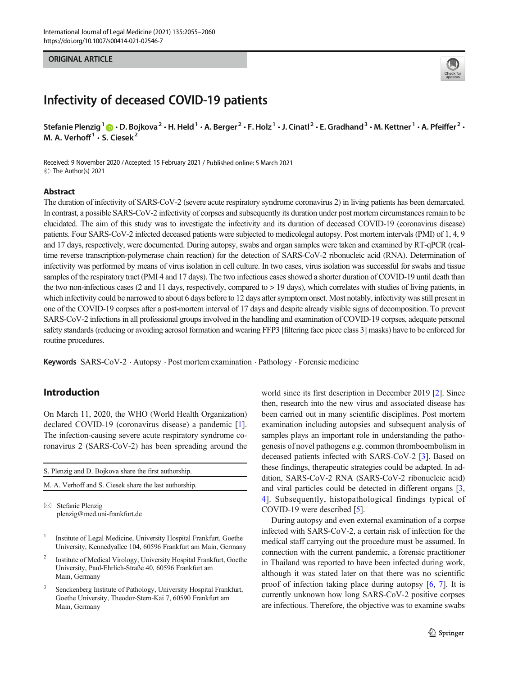### ORIGINAL ARTICLE



## Infectivity of deceased COVID-19 patients

Stefanie Plenzig<sup>1</sup>  $\bigcirc \cdot$  D. Bojkova<sup>2</sup>  $\cdot$  H. Held<sup>1</sup>  $\cdot$  A. Berger<sup>2</sup>  $\cdot$  F. Holz<sup>1</sup>  $\cdot$  J. Cinatl<sup>2</sup>  $\cdot$  E. Gradhand<sup>3</sup>  $\cdot$  M. Kettner<sup>1</sup>  $\cdot$  A. Pfeiffer<sup>2</sup>  $\cdot$ M. A. Verhoff $1 \cdot S$ . Ciesek $2$ 

Received: 9 November 2020 /Accepted: 15 February 2021 / Published online: 5 March 2021 C The Author(s) 2021

### Abstract

The duration of infectivity of SARS-CoV-2 (severe acute respiratory syndrome coronavirus 2) in living patients has been demarcated. In contrast, a possible SARS-CoV-2 infectivity of corpses and subsequently its duration under post mortem circumstances remain to be elucidated. The aim of this study was to investigate the infectivity and its duration of deceased COVID-19 (coronavirus disease) patients. Four SARS-CoV-2 infected deceased patients were subjected to medicolegal autopsy. Post mortem intervals (PMI) of 1, 4, 9 and 17 days, respectively, were documented. During autopsy, swabs and organ samples were taken and examined by RT-qPCR (realtime reverse transcription-polymerase chain reaction) for the detection of SARS-CoV-2 ribonucleic acid (RNA). Determination of infectivity was performed by means of virus isolation in cell culture. In two cases, virus isolation was successful for swabs and tissue samples of the respiratory tract (PMI 4 and 17 days). The two infectious cases showed a shorter duration of COVID-19 until death than the two non-infectious cases (2 and 11 days, respectively, compared to > 19 days), which correlates with studies of living patients, in which infectivity could be narrowed to about 6 days before to 12 days after symptom onset. Most notably, infectivity was still present in one of the COVID-19 corpses after a post-mortem interval of 17 days and despite already visible signs of decomposition. To prevent SARS-CoV-2 infections in all professional groups involved in the handling and examination of COVID-19 corpses, adequate personal safety standards (reducing or avoiding aerosol formation and wearing FFP3 [filtering face piece class 3] masks) have to be enforced for routine procedures.

Keywords SARS-CoV-2 . Autopsy . Post mortem examination . Pathology . Forensic medicine

### Introduction

On March 11, 2020, the WHO (World Health Organization) declared COVID-19 (coronavirus disease) a pandemic [\[1](#page-4-0)]. The infection-causing severe acute respiratory syndrome coronavirus 2 (SARS-CoV-2) has been spreading around the

| S. Plenzig and D. Bojkova share the first authorship.  |  |  |  |  |  |  |  |
|--------------------------------------------------------|--|--|--|--|--|--|--|
| M. A. Verhoff and S. Ciesek share the last authorship. |  |  |  |  |  |  |  |
|                                                        |  |  |  |  |  |  |  |

 $\boxtimes$  Stefanie Plenzig [plenzig@med.uni-frankfurt.de](mailto:plenzig@med.uni-frankfurt.de)

- <sup>1</sup> Institute of Legal Medicine, University Hospital Frankfurt, Goethe University, Kennedyallee 104, 60596 Frankfurt am Main, Germany
- <sup>2</sup> Institute of Medical Virology, University Hospital Frankfurt, Goethe University, Paul-Ehrlich-Straße 40, 60596 Frankfurt am Main, Germany
- <sup>3</sup> Senckenberg Institute of Pathology, University Hospital Frankfurt, Goethe University, Theodor-Stern-Kai 7, 60590 Frankfurt am Main, Germany

world since its first description in December 2019 [\[2](#page-4-0)]. Since then, research into the new virus and associated disease has been carried out in many scientific disciplines. Post mortem examination including autopsies and subsequent analysis of samples plays an important role in understanding the pathogenesis of novel pathogens e.g. common thromboembolism in deceased patients infected with SARS-CoV-2 [\[3](#page-4-0)]. Based on these findings, therapeutic strategies could be adapted. In addition, SARS-CoV-2 RNA (SARS-CoV-2 ribonucleic acid) and viral particles could be detected in different organs [[3,](#page-4-0) [4](#page-5-0)]. Subsequently, histopathological findings typical of COVID-19 were described [[5\]](#page-5-0).

During autopsy and even external examination of a corpse infected with SARS-CoV-2, a certain risk of infection for the medical staff carrying out the procedure must be assumed. In connection with the current pandemic, a forensic practitioner in Thailand was reported to have been infected during work, although it was stated later on that there was no scientific proof of infection taking place during autopsy [\[6](#page-5-0), [7\]](#page-5-0). It is currently unknown how long SARS-CoV-2 positive corpses are infectious. Therefore, the objective was to examine swabs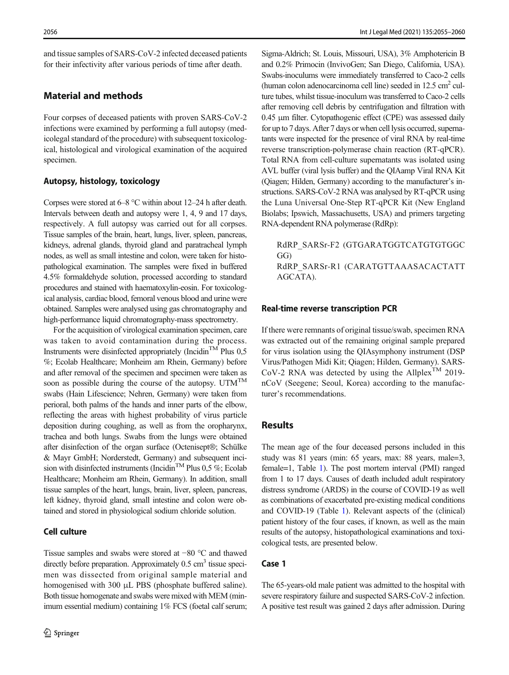and tissue samples of SARS-CoV-2 infected deceased patients for their infectivity after various periods of time after death.

### Material and methods

Four corpses of deceased patients with proven SARS-CoV-2 infections were examined by performing a full autopsy (medicolegal standard of the procedure) with subsequent toxicological, histological and virological examination of the acquired specimen.

### Autopsy, histology, toxicology

Corpses were stored at 6–8 °C within about 12–24 h after death. Intervals between death and autopsy were 1, 4, 9 and 17 days, respectively. A full autopsy was carried out for all corpses. Tissue samples of the brain, heart, lungs, liver, spleen, pancreas, kidneys, adrenal glands, thyroid gland and paratracheal lymph nodes, as well as small intestine and colon, were taken for histopathological examination. The samples were fixed in buffered 4.5% formaldehyde solution, processed according to standard procedures and stained with haematoxylin-eosin. For toxicological analysis, cardiac blood, femoral venous blood and urine were obtained. Samples were analysed using gas chromatography and high-performance liquid chromatography-mass spectrometry.

For the acquisition of virological examination specimen, care was taken to avoid contamination during the process. Instruments were disinfected appropriately (Incidin<sup>TM</sup> Plus  $0.5$ %; Ecolab Healthcare; Monheim am Rhein, Germany) before and after removal of the specimen and specimen were taken as soon as possible during the course of the autopsy. UTM<sup>TM</sup> swabs (Hain Lifescience; Nehren, Germany) were taken from perioral, both palms of the hands and inner parts of the elbow, reflecting the areas with highest probability of virus particle deposition during coughing, as well as from the oropharynx, trachea and both lungs. Swabs from the lungs were obtained after disinfection of the organ surface (Octenisept®; Schülke & Mayr GmbH; Norderstedt, Germany) and subsequent incision with disinfected instruments (Incidin<sup>TM</sup> Plus 0,5 %; Ecolab Healthcare; Monheim am Rhein, Germany). In addition, small tissue samples of the heart, lungs, brain, liver, spleen, pancreas, left kidney, thyroid gland, small intestine and colon were obtained and stored in physiological sodium chloride solution.

### **Cell culture**

Tissue samples and swabs were stored at −80 °C and thawed directly before preparation. Approximately  $0.5 \text{ cm}^3$  tissue specimen was dissected from original sample material and homogenised with 300 μL PBS (phosphate buffered saline). Both tissue homogenate and swabs were mixed with MEM (minimum essential medium) containing 1% FCS (foetal calf serum; Sigma-Aldrich; St. Louis, Missouri, USA), 3% Amphotericin B and 0.2% Primocin (InvivoGen; San Diego, California, USA). Swabs-inoculums were immediately transferred to Caco-2 cells (human colon adenocarcinoma cell line) seeded in  $12.5 \text{ cm}^2$  culture tubes, whilst tissue-inoculum was transferred to Caco-2 cells after removing cell debris by centrifugation and filtration with 0.45 μm filter. Cytopathogenic effect (CPE) was assessed daily for up to 7 days. After 7 days or when cell lysis occurred, supernatants were inspected for the presence of viral RNA by real-time reverse transcription-polymerase chain reaction (RT-qPCR). Total RNA from cell-culture supernatants was isolated using AVL buffer (viral lysis buffer) and the QIAamp Viral RNA Kit (Qiagen; Hilden, Germany) according to the manufacturer's instructions. SARS-CoV-2 RNA was analysed by RT-qPCR using the Luna Universal One-Step RT-qPCR Kit (New England Biolabs; Ipswich, Massachusetts, USA) and primers targeting RNA-dependent RNA polymerase (RdRp):

RdRP\_SARSr-F2 (GTGARATGGTCATGTGTGGC GG) RdRP\_SARSr-R1 (CARATGTTAAASACACTATT AGCATA).

# Real-time reverse transcription PCR

If there were remnants of original tissue/swab, specimen RNA was extracted out of the remaining original sample prepared for virus isolation using the QIAsymphony instrument (DSP Virus/Pathogen Midi Kit; Qiagen; Hilden, Germany). SARS-CoV-2 RNA was detected by using the Allplex<sup>TM</sup> 2019nCoV (Seegene; Seoul, Korea) according to the manufacturer's recommendations.

### Results

The mean age of the four deceased persons included in this study was 81 years (min: 65 years, max: 88 years, male=3, female=1, Table [1](#page-2-0)). The post mortem interval (PMI) ranged from 1 to 17 days. Causes of death included adult respiratory distress syndrome (ARDS) in the course of COVID-19 as well as combinations of exacerbated pre-existing medical conditions and COVID-19 (Table [1\)](#page-2-0). Relevant aspects of the (clinical) patient history of the four cases, if known, as well as the main results of the autopsy, histopathological examinations and toxicological tests, are presented below.

The 65-years-old male patient was admitted to the hospital with severe respiratory failure and suspected SARS-CoV-2 infection. A positive test result was gained 2 days after admission. During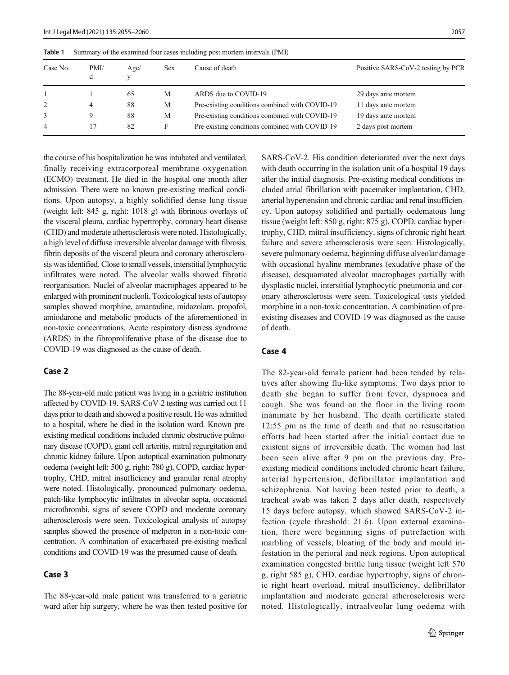| Case No.<br>PMI/<br>Age/<br>Sex<br>d<br>v | Cause of death                                 | Positive SARS-CoV-2 testing by PCR |  |  |
|-------------------------------------------|------------------------------------------------|------------------------------------|--|--|
| М<br>65                                   | ARDS due to COVID-19                           | 29 days ante mortem                |  |  |
| 88<br>М<br>4                              | Pre-existing conditions combined with COVID-19 | 11 days ante mortem                |  |  |
| 3<br>88<br>9<br>М                         | Pre-existing conditions combined with COVID-19 | 19 days ante mortem                |  |  |
| 82<br>F<br>4                              | Pre-existing conditions combined with COVID-19 | 2 days post mortem                 |  |  |

<span id="page-2-0"></span>Table 1 Summary of the examined four cases including post mortem intervals (PMI)

the course of his hospitalization he was intubated and ventilated, finally receiving extracorporeal membrane oxygenation (ECMO) treatment. He died in the hospital one month after admission. There were no known pre-existing medical conditions. Upon autopsy, a highly solidified dense lung tissue (weight left: 845 g, right: 1018 g) with fibrinous overlays of the visceral pleura, cardiac hypertrophy, coronary heart disease (CHD) and moderate atherosclerosis were noted. Histologically, a high level of diffuse irreversible alveolar damage with fibrosis, fibrin deposits of the visceral pleura and coronary atherosclerosis was identified. Close to small vessels, interstitial lymphocytic infiltrates were noted. The alveolar walls showed fibrotic reorganisation. Nuclei of alveolar macrophages appeared to be enlarged with prominent nucleoli. Toxicological tests of autopsy samples showed morphine, amantadine, midazolam, propofol, amiodarone and metabolic products of the aforementioned in non-toxic concentrations. Acute respiratory distress syndrome (ARDS) in the fibroproliferative phase of the disease due to COVID-19 was diagnosed as the cause of death.

### Case 2

The 88-year-old male patient was living in a geriatric institution affected by COVID-19. SARS-CoV-2 testing was carried out 11 days prior to death and showed a positive result. He was admitted to a hospital, where he died in the isolation ward. Known preexisting medical conditions included chronic obstructive pulmonary disease (COPD), giant cell arteritis, mitral regurgitation and chronic kidney failure. Upon autoptical examination pulmonary oedema (weight left: 500 g, right: 780 g), COPD, cardiac hypertrophy, CHD, mitral insufficiency and granular renal atrophy were noted. Histologically, pronounced pulmonary oedema, patch-like lymphocytic infiltrates in alveolar septa, occasional microthrombi, signs of severe COPD and moderate coronary atherosclerosis were seen. Toxicological analysis of autopsy samples showed the presence of melperon in a non-toxic concentration. A combination of exacerbated pre-existing medical conditions and COVID-19 was the presumed cause of death.

### Case 3

The 88-year-old male patient was transferred to a geriatric ward after hip surgery, where he was then tested positive for SARS-CoV-2. His condition deteriorated over the next days with death occurring in the isolation unit of a hospital 19 days after the initial diagnosis. Pre-existing medical conditions included atrial fibrillation with pacemaker implantation, CHD, arterial hypertension and chronic cardiac and renal insufficiency. Upon autopsy solidified and partially oedematous lung tissue (weight left: 850 g, right: 875 g), COPD, cardiac hypertrophy, CHD, mitral insufficiency, signs of chronic right heart failure and severe atherosclerosis were seen. Histologically, severe pulmonary oedema, beginning diffuse alveolar damage with occasional hyaline membranes (exudative phase of the disease), desquamated alveolar macrophages partially with dysplastic nuclei, interstitial lymphocytic pneumonia and coronary atherosclerosis were seen. Toxicological tests yielded morphine in a non-toxic concentration. A combination of preexisting diseases and COVID-19 was diagnosed as the cause of death.

### Case 4

The 82-year-old female patient had been tended by relatives after showing flu-like symptoms. Two days prior to death she began to suffer from fever, dyspnoea and cough. She was found on the floor in the living room inanimate by her husband. The death certificate stated 12:55 pm as the time of death and that no resuscitation efforts had been started after the initial contact due to existent signs of irreversible death. The woman had last been seen alive after 9 pm on the previous day. Preexisting medical conditions included chronic heart failure, arterial hypertension, defibrillator implantation and schizophrenia. Not having been tested prior to death, a tracheal swab was taken 2 days after death, respectively 15 days before autopsy, which showed SARS-CoV-2 infection (cycle threshold: 21.6). Upon external examination, there were beginning signs of putrefaction with marbling of vessels, bloating of the body and mould infestation in the perioral and neck regions. Upon autoptical examination congested brittle lung tissue (weight left 570 g, right 585 g), CHD, cardiac hypertrophy, signs of chronic right heart overload, mitral insufficiency, defibrillator implantation and moderate general atherosclerosis were noted. Histologically, intraalveolar lung oedema with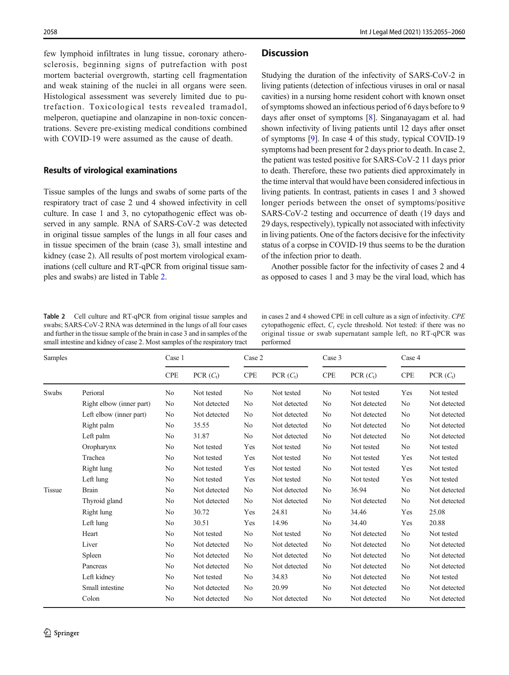few lymphoid infiltrates in lung tissue, coronary atherosclerosis, beginning signs of putrefaction with post mortem bacterial overgrowth, starting cell fragmentation and weak staining of the nuclei in all organs were seen. Histological assessment was severely limited due to putrefaction. Toxicological tests revealed tramadol, melperon, quetiapine and olanzapine in non-toxic concentrations. Severe pre-existing medical conditions combined with COVID-19 were assumed as the cause of death.

### Results of virological examinations

Tissue samples of the lungs and swabs of some parts of the respiratory tract of case 2 und 4 showed infectivity in cell culture. In case 1 and 3, no cytopathogenic effect was observed in any sample. RNA of SARS-CoV-2 was detected in original tissue samples of the lungs in all four cases and in tissue specimen of the brain (case 3), small intestine and kidney (case 2). All results of post mortem virological examinations (cell culture and RT-qPCR from original tissue samples and swabs) are listed in Table 2.

Table 2 Cell culture and RT-qPCR from original tissue samples and swabs; SARS-CoV-2 RNA was determined in the lungs of all four cases and further in the tissue sample of the brain in case 3 and in samples of the small intestine and kidney of case 2. Most samples of the respiratory tract

in cases 2 and 4 showed CPE in cell culture as a sign of infectivity. CPE cytopathogenic effect,  $C_t$  cycle threshold. Not tested: if there was no original tissue or swab supernatant sample left, no RT-qPCR was performed

| Samples       |                          | Case 1         |                      | Case 2         |              | Case 3         |              | Case 4                      |              |
|---------------|--------------------------|----------------|----------------------|----------------|--------------|----------------|--------------|-----------------------------|--------------|
|               |                          | <b>CPE</b>     | PCR(C <sub>t</sub> ) | <b>CPE</b>     | PCR $(C_t)$  | <b>CPE</b>     | PCR $(C_t)$  | $\ensuremath{\mathsf{CPE}}$ | PCR $(C_t)$  |
| Swabs         | Perioral                 | No             | Not tested           | No             | Not tested   | No             | Not tested   | Yes                         | Not tested   |
|               | Right elbow (inner part) | No             | Not detected         | No             | Not detected | No             | Not detected | No                          | Not detected |
|               | Left elbow (inner part)  | No             | Not detected         | No             | Not detected | No             | Not detected | No                          | Not detected |
|               | Right palm               | N <sub>0</sub> | 35.55                | No             | Not detected | No             | Not detected | No                          | Not detected |
|               | Left palm                | No             | 31.87                | No             | Not detected | No             | Not detected | No                          | Not detected |
|               | Oropharynx               | No             | Not tested           | Yes            | Not tested   | No             | Not tested   | No                          | Not tested   |
|               | Trachea                  | No             | Not tested           | Yes            | Not tested   | No             | Not tested   | Yes                         | Not tested   |
|               | Right lung               | No             | Not tested           | Yes            | Not tested   | No             | Not tested   | Yes                         | Not tested   |
|               | Left lung                | No             | Not tested           | Yes            | Not tested   | No             | Not tested   | Yes                         | Not tested   |
| <b>Tissue</b> | <b>Brain</b>             | No             | Not detected         | No             | Not detected | No             | 36.94        | No                          | Not detected |
|               | Thyroid gland            | No             | Not detected         | No             | Not detected | No             | Not detected | No                          | Not detected |
|               | Right lung               | No             | 30.72                | Yes            | 24.81        | No             | 34.46        | Yes                         | 25.08        |
|               | Left lung                | No             | 30.51                | Yes            | 14.96        | No             | 34.40        | Yes                         | 20.88        |
|               | Heart                    | No             | Not tested           | No             | Not tested   | No             | Not detected | No                          | Not tested   |
|               | Liver                    | No             | Not detected         | No             | Not detected | No             | Not detected | No                          | Not detected |
|               | Spleen                   | N <sub>0</sub> | Not detected         | No             | Not detected | N <sub>0</sub> | Not detected | No                          | Not detected |
|               | Pancreas                 | No             | Not detected         | No             | Not detected | No             | Not detected | No                          | Not detected |
|               | Left kidney              | No             | Not tested           | N <sub>0</sub> | 34.83        | No             | Not detected | No                          | Not tested   |
|               | Small intestine          | No             | Not detected         | No             | 20.99        | No             | Not detected | No                          | Not detected |
|               | Colon                    | No             | Not detected         | No             | Not detected | No             | Not detected | N <sub>0</sub>              | Not detected |

### **Discussion**

Studying the duration of the infectivity of SARS-CoV-2 in living patients (detection of infectious viruses in oral or nasal cavities) in a nursing home resident cohort with known onset of symptoms showed an infectious period of 6 days before to 9 days after onset of symptoms [\[8](#page-5-0)]. Singanayagam et al. had shown infectivity of living patients until 12 days after onset of symptoms [[9\]](#page-5-0). In case 4 of this study, typical COVID-19 symptoms had been present for 2 days prior to death. In case 2, the patient was tested positive for SARS-CoV-2 11 days prior to death. Therefore, these two patients died approximately in the time interval that would have been considered infectious in living patients. In contrast, patients in cases 1 and 3 showed longer periods between the onset of symptoms/positive SARS-CoV-2 testing and occurrence of death (19 days and 29 days, respectively), typically not associated with infectivity in living patients. One of the factors decisive for the infectivity status of a corpse in COVID-19 thus seems to be the duration of the infection prior to death.

Another possible factor for the infectivity of cases 2 and 4 as opposed to cases 1 and 3 may be the viral load, which has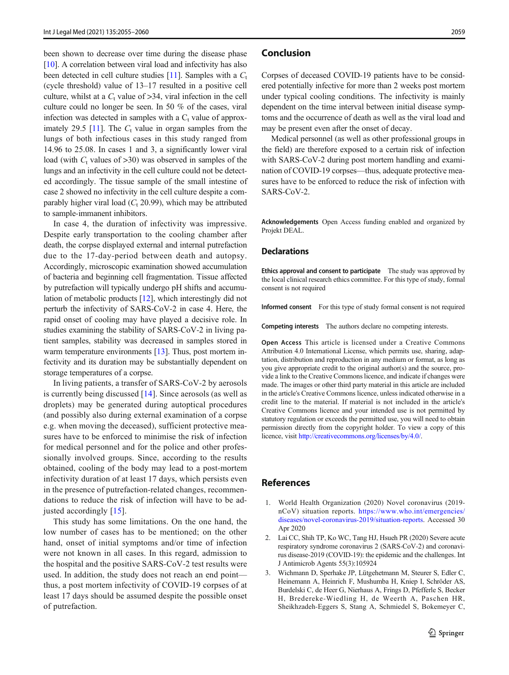<span id="page-4-0"></span>been shown to decrease over time during the disease phase [\[10\]](#page-5-0). A correlation between viral load and infectivity has also been detected in cell culture studies [\[11](#page-5-0)]. Samples with a  $C_t$ (cycle threshold) value of 13–17 resulted in a positive cell culture, whilst at a  $C_t$  value of  $>34$ , viral infection in the cell culture could no longer be seen. In 50 % of the cases, viral infection was detected in samples with a  $C_t$  value of approx-imately 29.5 [[11\]](#page-5-0). The  $C_t$  value in organ samples from the lungs of both infectious cases in this study ranged from 14.96 to 25.08. In cases 1 and 3, a significantly lower viral load (with  $C_t$  values of  $>30$ ) was observed in samples of the lungs and an infectivity in the cell culture could not be detected accordingly. The tissue sample of the small intestine of case 2 showed no infectivity in the cell culture despite a comparably higher viral load  $(C_t 20.99)$ , which may be attributed to sample-immanent inhibitors.

In case 4, the duration of infectivity was impressive. Despite early transportation to the cooling chamber after death, the corpse displayed external and internal putrefaction due to the 17-day-period between death and autopsy. Accordingly, microscopic examination showed accumulation of bacteria and beginning cell fragmentation. Tissue affected by putrefaction will typically undergo pH shifts and accumulation of metabolic products [\[12](#page-5-0)], which interestingly did not perturb the infectivity of SARS-CoV-2 in case 4. Here, the rapid onset of cooling may have played a decisive role. In studies examining the stability of SARS-CoV-2 in living patient samples, stability was decreased in samples stored in warm temperature environments [\[13](#page-5-0)]. Thus, post mortem infectivity and its duration may be substantially dependent on storage temperatures of a corpse.

In living patients, a transfer of SARS-CoV-2 by aerosols is currently being discussed [\[14\]](#page-5-0). Since aerosols (as well as droplets) may be generated during autoptical procedures (and possibly also during external examination of a corpse e.g. when moving the deceased), sufficient protective measures have to be enforced to minimise the risk of infection for medical personnel and for the police and other professionally involved groups. Since, according to the results obtained, cooling of the body may lead to a post-mortem infectivity duration of at least 17 days, which persists even in the presence of putrefaction-related changes, recommendations to reduce the risk of infection will have to be adjusted accordingly [\[15](#page-5-0)].

This study has some limitations. On the one hand, the low number of cases has to be mentioned; on the other hand, onset of initial symptoms and/or time of infection were not known in all cases. In this regard, admission to the hospital and the positive SARS-CoV-2 test results were used. In addition, the study does not reach an end point thus, a post mortem infectivity of COVID-19 corpses of at least 17 days should be assumed despite the possible onset of putrefaction.

### Conclusion

Corpses of deceased COVID-19 patients have to be considered potentially infective for more than 2 weeks post mortem under typical cooling conditions. The infectivity is mainly dependent on the time interval between initial disease symptoms and the occurrence of death as well as the viral load and may be present even after the onset of decay.

Medical personnel (as well as other professional groups in the field) are therefore exposed to a certain risk of infection with SARS-CoV-2 during post mortem handling and examination of COVID-19 corpses—thus, adequate protective measures have to be enforced to reduce the risk of infection with SARS-CoV-2.

Acknowledgements Open Access funding enabled and organized by Projekt DEAL.

Ethics approval and consent to participate The study was approved by the local clinical research ethics committee. For this type of study, formal consent is not required

Informed consent For this type of study formal consent is not required

Competing interests The authors declare no competing interests.

Open Access This article is licensed under a Creative Commons Attribution 4.0 International License, which permits use, sharing, adaptation, distribution and reproduction in any medium or format, as long as you give appropriate credit to the original author(s) and the source, provide a link to the Creative Commons licence, and indicate if changes were made. The images or other third party material in this article are included in the article's Creative Commons licence, unless indicated otherwise in a credit line to the material. If material is not included in the article's Creative Commons licence and your intended use is not permitted by statutory regulation or exceeds the permitted use, you will need to obtain permission directly from the copyright holder. To view a copy of this licence, visit <http://creativecommons.org/licenses/by/4.0/>.

### References

- 1. World Health Organization (2020) Novel coronavirus (2019 nCoV) situation reports. [https://www.who.int/emergencies/](https://www.who.int/emergencies/diseases/novel-coronavirus-2019/situation-reports) [diseases/novel-coronavirus-2019/situation-reports](https://www.who.int/emergencies/diseases/novel-coronavirus-2019/situation-reports). Accessed 30 Apr 2020
- 2. Lai CC, Shih TP, Ko WC, Tang HJ, Hsueh PR (2020) Severe acute respiratory syndrome coronavirus 2 (SARS-CoV-2) and coronavirus disease-2019 (COVID-19): the epidemic and the challenges. Int J Antimicrob Agents 55(3):105924
- 3. Wichmann D, Sperhake JP, Lütgehetmann M, Steurer S, Edler C, Heinemann A, Heinrich F, Mushumba H, Kniep I, Schröder AS, Burdelski C, de Heer G, Nierhaus A, Frings D, Pfefferle S, Becker H, Bredereke-Wiedling H, de Weerth A, Paschen HR, Sheikhzadeh-Eggers S, Stang A, Schmiedel S, Bokemeyer C,